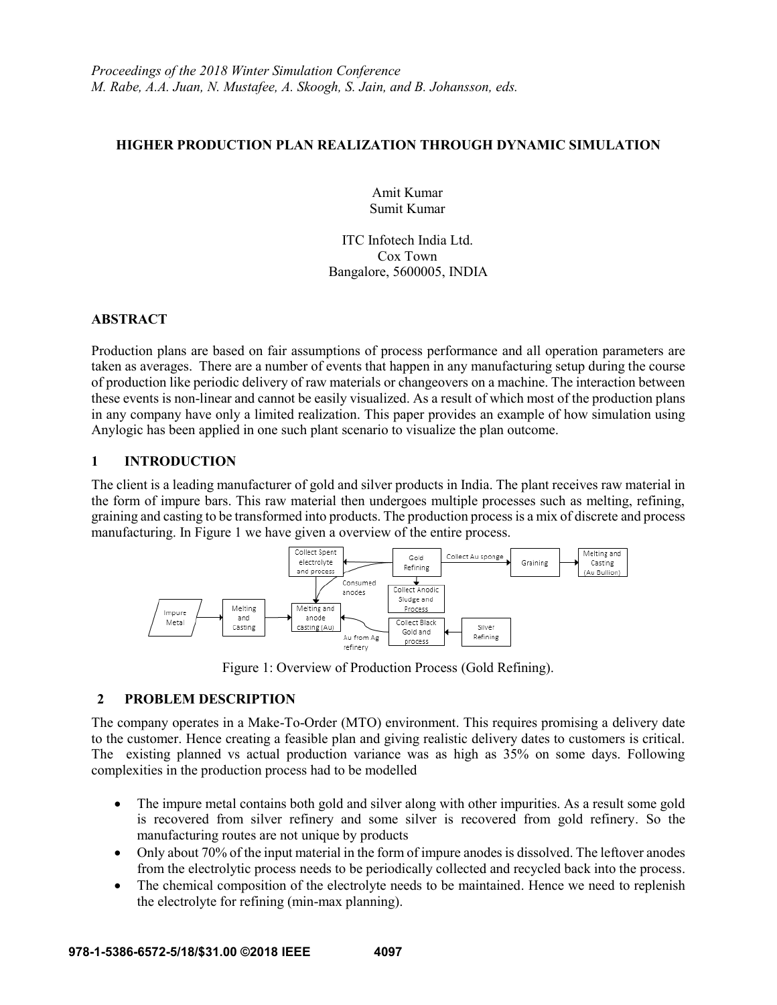### **HIGHER PRODUCTION PLAN REALIZATION THROUGH DYNAMIC SIMULATION**

Amit Kumar Sumit Kumar

ITC Infotech India Ltd. Cox Town Bangalore, 5600005, INDIA

## **ABSTRACT**

Production plans are based on fair assumptions of process performance and all operation parameters are taken as averages. There are a number of events that happen in any manufacturing setup during the course of production like periodic delivery of raw materials or changeovers on a machine. The interaction between these events is non-linear and cannot be easily visualized. As a result of which most of the production plans in any company have only a limited realization. This paper provides an example of how simulation using Anylogic has been applied in one such plant scenario to visualize the plan outcome.

# **1 INTRODUCTION**

The client is a leading manufacturer of gold and silver products in India. The plant receives raw material in the form of impure bars. This raw material then undergoes multiple processes such as melting, refining, graining and casting to be transformed into products. The production process is a mix of discrete and process manufacturing. In Figure 1 we have given a overview of the entire process.



Figure 1: Overview of Production Process (Gold Refining).

# **2 PROBLEM DESCRIPTION**

The company operates in a Make-To-Order (MTO) environment. This requires promising a delivery date to the customer. Hence creating a feasible plan and giving realistic delivery dates to customers is critical. The existing planned vs actual production variance was as high as 35% on some days. Following complexities in the production process had to be modelled

- The impure metal contains both gold and silver along with other impurities. As a result some gold is recovered from silver refinery and some silver is recovered from gold refinery. So the manufacturing routes are not unique by products
- Only about 70% of the input material in the form of impure anodes is dissolved. The leftover anodes from the electrolytic process needs to be periodically collected and recycled back into the process.
- The chemical composition of the electrolyte needs to be maintained. Hence we need to replenish the electrolyte for refining (min-max planning).